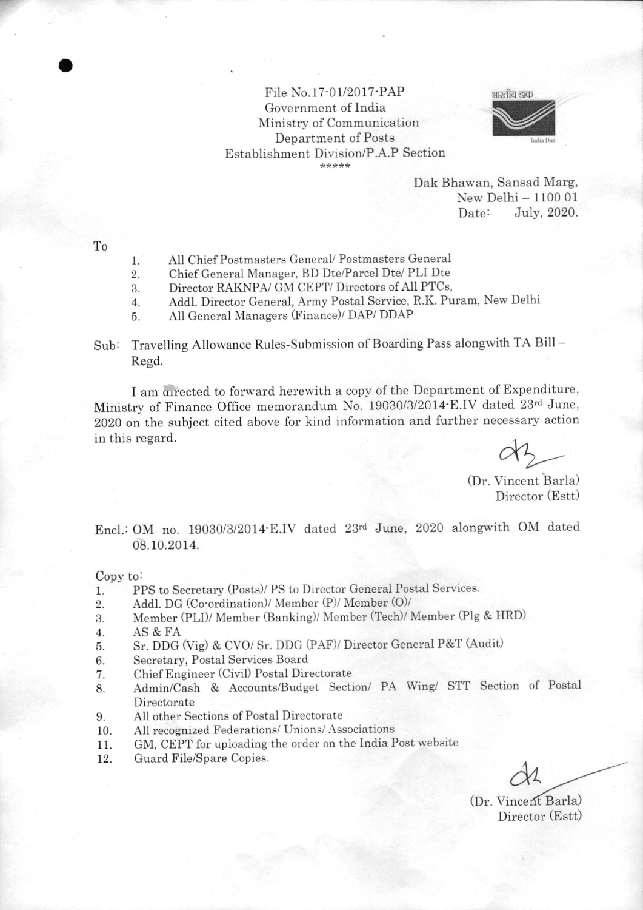## File No.17-01/2017-PAP Government of India Ministry of Communication Department of Posts Establishment Division/P.A.P Section



Dak Bhawan, Sansad Marg, New Delhi - 1100 01<br>Date: July, 2020. July, 2020.

To

o

- Atl Chief Postmasters GeneraV Postmasters General I
- Chief General Manager, BD Dte/Parcel Dte/ PLI Dte 2.
- Director RAKNPA/ GM CEPT/ Directors of All PTCs, 3.
- Addl. Director General, Army Postal Service, R.K. Puram, New Delhi 4

All General Managers (Finance)/ DAP/ DDAP 5

Sub: Travelling Allowance Rules-Submission of Boarding Pass alongwith TA Bill -Regd.

I am directed to forward herewith a copy of the Department of Expenditure, Ministry of Finance Office memorandum No. 19030/3/2014'E.IV dated 23'd June, 2020 on the subject cited above for kind information and further necessary action in this regard.

(Dr. Vincent Barla) Director (Estt)

Encl.: OM no. 19030/3/2014 E.IV dated 23rd June, 2020 alongwith OM dated 08. 10. 2014.

Copy to:

- PPS to Secretary (Posts)/ PS to Director General Postal Services. l.
- Addl. DG (Co'ordination)/ Member (P)/ Member (O)/ 2.
- Member (PLI)/ Member (Banking)/ Member (Tech)/ Member (Plg & HRD) 3.
- AS&FA 4.
- Sr. DDG (Vig) & CVO/ Sr. DDG (PAF)/ Director General P&T (Audit) 5.
- Secretary, Postal Services Board 6.
- Chief Engineer (Civil) Postal Directorate 7.
- Admin/Cash & Accounts/Budget Section/ PA Wing/ STT Section of Postal Directorate 8.
- 9. All other Sections of Postal Directorate
- 10. All recognized Federations/ Unions/ Associations
- 11. GM, CEPT for uploading the order on the India Post website
- 72. Guard File/Spare Copies.

 $\alpha$ 

(Dr. Vincent Barla) Director (Estt)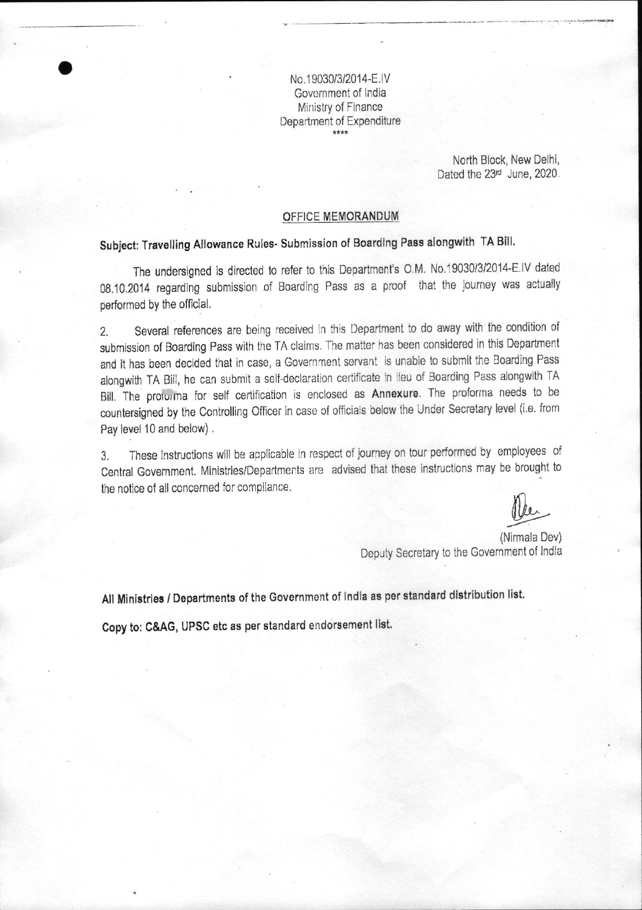No.1 9030/3/2014-E,lV Government of India Ministry of Finance Department of Expenditure

> North Block, New Delhi, Dated the 23<sup>rd</sup> June, 2020.

#### OFFICE MEMORANDUM

# subject: Travelling Allowance Rules. submission of Boarding Pass alongwith TA Bill,

o

The undersigned is directed to refer to this Department's 0,M, N0.19030/3/2014-E.lV dated 08.10.2014 regarding submission of Boarding Pass as a proof that the journey was actually performed by the official.

2. Several references are being received in this Department to do away with the condition of submissjon of Boarding Pass with the TA claims, The matter has been considered in this Department and it has been decided that in case, a Government servant is unable to submit the Boarding Pass alongwith TA Bill, he can submit a self-declaration certificate in lieu of Boarding Pass alongwith TA Bill. The protorma for self certification is enclosed as Annexure. The proforma needs to be countersigned by the Controlling Officer in case of officials below the Under Secretary level (i.e. from Pay level 10 and below) .

3. These instructions will be applicable in respect of journey on tour performed by employees of Central Government. Ministries/Departments are advised that these instructions may be brought to the notice of all concemed for compliance.

(Nirmala Dev) Deputy Secretary to the Govemment of lndia

All Ministries / Departments of the Government of India as per standard distribution list.

Copy to: C&AG, UPSG etc as per standard endorsement list.